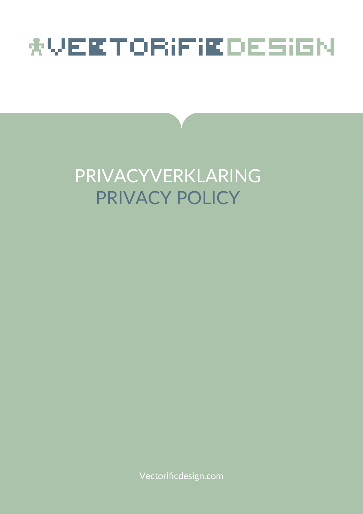# **AVERTORIFIEDESIGN**

# PRIVACYVERKLARING PRIVACY POLICY

Vectorificdesign.com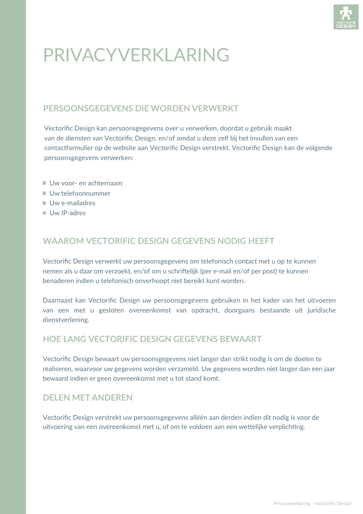

# PRIVACYVERKLARING

#### **PERSOONSGEGEVENS DIE WORDEN VERWERKT**

Vectorific Design kan persoonsgegevens over u verwerken, doordat u gebruik maakt van de diensten van Vectorific Design, en/of omdat u deze zelf bij het invullen van een contactformulier op de website aan Vectorific Design verstrekt. Vectorific Design kan de volgende persoonsgegevens verwerken:

- Uw voor- en achternaam
- Uw telefoonnummer
- Uw e-mailadres
- Uw IP-adres

### **WAAROM VECTORIFIC DESIGN GEGEVENS NODIG HEEFT**

Vectorific Design verwerkt uw persoonsgegevens om telefonisch contact met u op te kunnen nemen als u daar om verzoekt, en/of om u schriftelijk (per e-mail en/of per post) te kunnen benaderen indien u telefonisch onverhoopt niet bereikt kunt worden.

Daarnaast kan Vectorific Design uw persoonsgegevens gebruiken in het kader van het uitvoeren van een met u gesloten overeenkomst van opdracht, doorgaans bestaande uit juridische dienstverlening.

### **HOE LANG VECTORIFIC DESIGN GEGEVENS BEWAART**

Vectorific Design bewaart uw persoonsgegevens niet langer dan strikt nodig is om de doelen te realiseren, waarvoor uw gegevens worden verzameld. Uw gegevens worden niet langer dan een jaar bewaard indien er geen overeenkomst met u tot stand komt.

#### **DELEN MET ANDEREN**

Vectorific Design verstrekt uw persoonsgegevens alléén aan derden indien dit nodig is voor de uitvoering van een overeenkomst met u, of om te voldoen aan een wettelijke verplichting.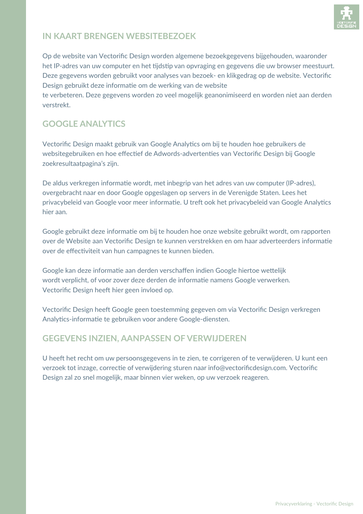

#### **IN KAART BRENGEN WEBSITEBEZOEK**

Op de website van Vectorific Design worden algemene bezoekgegevens bijgehouden, waaronder het IP-adres van uw computer en het tijdstip van opvraging en gegevens die uw browser meestuurt. Deze gegevens worden gebruikt voor analyses van bezoek- en klikgedrag op de website. Vectorific Design gebruikt deze informatie om de werking van de website

te verbeteren. Deze gegevens worden zo veel mogelijk geanonimiseerd en worden niet aan derden verstrekt.

#### **GOOGLE ANALYTICS**

Vectorific Design maakt gebruik van Google Analytics om bij te houden hoe gebruikers de websitegebruiken en hoe effectief de Adwords-advertenties van Vectorific Design bij Google zoekresultaatpagina's zijn.

De aldus verkregen informatie wordt, met inbegrip van het adres van uw computer (IP-adres), overgebracht naar en door Google opgeslagen op servers in de Verenigde Staten. Lees het privacybeleid van Google voor meer informatie. U treft ook het privacybeleid van Google Analytics hier aan.

Google gebruikt deze informatie om bij te houden hoe onze website gebruikt wordt, om rapporten over de Website aan Vectorific Design te kunnen verstrekken en om haar adverteerders informatie over de effectiviteit van hun campagnes te kunnen bieden.

Google kan deze informatie aan derden verschaffen indien Google hiertoe wettelijk wordt verplicht, of voor zover deze derden de informatie namens Google verwerken. Vectorific Design heeft hier geen invloed op.

Vectorific Design heeft Google geen toestemming gegeven om via Vectorific Design verkregen Analytics-informatie te gebruiken voor andere Google-diensten.

#### **GEGEVENS INZIEN, AANPASSEN OF VERWIJDEREN**

U heeft het recht om uw persoonsgegevens in te zien, te corrigeren of te verwijderen. U kunt een verzoek tot inzage, correctie of verwijdering sturen naar info@vectorificdesign.com. Vectorific Design zal zo snel mogelijk, maar binnen vier weken, op uw verzoek reageren.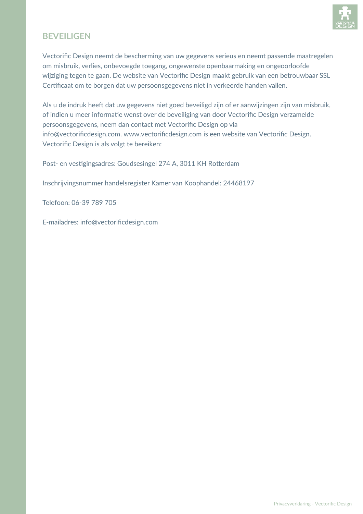

#### **BEVEILIGEN**

Vectorific Design neemt de bescherming van uw gegevens serieus en neemt passende maatregelen om misbruik, verlies, onbevoegde toegang, ongewenste openbaarmaking en ongeoorloofde wijziging tegen te gaan. De website van Vectorific Design maakt gebruik van een betrouwbaar SSL Certificaat om te borgen dat uw persoonsgegevens niet in verkeerde handen vallen.

Als u de indruk heeft dat uw gegevens niet goed beveiligd zijn of er aanwijzingen zijn van misbruik, of indien u meer informatie wenst over de beveiliging van door Vectorific Design verzamelde persoonsgegevens, neem dan contact met Vectorific Design op via info@vectorificdesign.com. www.vectorificdesign.com is een website van Vectorific Design. Vectorific Design is als volgt te bereiken:

Post- en vestigingsadres: Goudsesingel 274 A, 3011 KH Rotterdam

Inschrijvingsnummer handelsregister Kamer van Koophandel: 24468197

Telefoon: 06-39 789 705

E-mailadres: info@vectorificdesign.com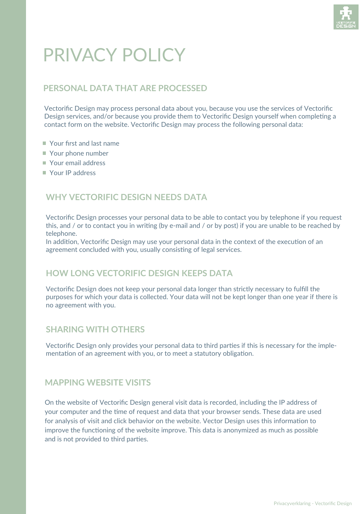

# PRIVACY POLICY

## **PERSONAL DATA THAT ARE PROCESSED**

Vectorific Design may process personal data about you, because you use the services of Vectorific Design services, and/or because you provide them to Vectorific Design yourself when completing a contact form on the website. Vectorific Design may process the following personal data:

- Your first and last name
- Your phone number
- Your email address
- Your IP address

#### **WHY VECTORIFIC DESIGN NEEDS DATA**

Vectorific Design processes your personal data to be able to contact you by telephone if you request this, and / or to contact you in writing (by e-mail and / or by post) if you are unable to be reached by telephone.

In addition, Vectorific Design may use your personal data in the context of the execution of an agreement concluded with you, usually consisting of legal services.

#### **HOW LONG VECTORIFIC DESIGN KEEPS DATA**

Vectorific Design does not keep your personal data longer than strictly necessary to fulfill the purposes for which your data is collected. Your data will not be kept longer than one year if there is no agreement with you.

#### **SHARING WITH OTHERS**

Vectorific Design only provides your personal data to third parties if this is necessary for the implementation of an agreement with you, or to meet a statutory obligation.

#### **MAPPING WEBSITE VISITS**

On the website of Vectorific Design general visit data is recorded, including the IP address of your computer and the time of request and data that your browser sends. These data are used for analysis of visit and click behavior on the website. Vector Design uses this information to improve the functioning of the website improve. This data is anonymized as much as possible and is not provided to third parties.